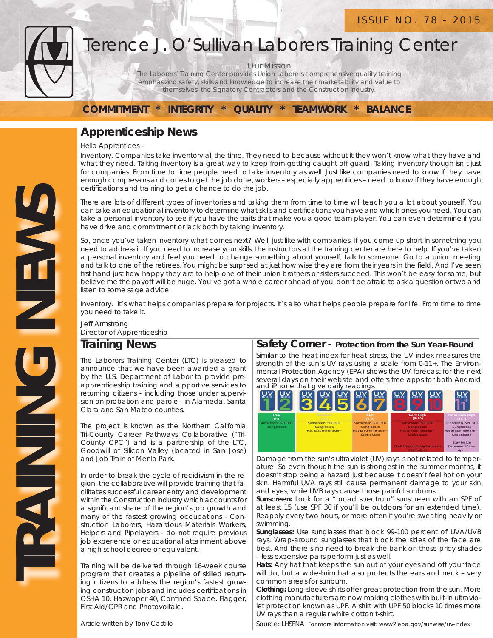

**TRAINING NEWS** 

**DNINE** 

NEWS

# Terence J. O'Sullivan Laborers Training Center

Our Mission

The Laborers' Training Center provides Union Laborers comprehensive quality training emphasizing safety, skills and knowledge to increase their marketability and value to themselves, the Signatory Contractors and the Construction Industry.

**COMMITMENT \* INTEGRITY \* QUALITY \* TEAMWORK \* BALANCE**

### **Apprenticeship News**

Hello Apprentices –

Inventory. Companies take inventory all the time. They need to because without it they won't know what they have and what they need. Taking inventory is a great way to keep from getting caught off guard. Taking inventory though isn't just for companies. From time to time people need to take inventory as well. Just like companies need to know if they have enough compressors and cones to get the job done, workers – especially apprentices – need to know if they have enough certifications and training to get a chance to do the job.

There are lots of different types of inventories and taking them from time to time will teach you a lot about yourself. You can take an educational inventory to determine what skills and certifications you have and which ones you need. You can take a personal inventory to see if you have the traits that make you a good team player. You can even determine if you have drive and commitment or lack both by taking inventory.

So, once you've taken inventory what comes next? Well, just like with companies, if you come up short in something you need to address it. If you need to increase your skills, the instructors at the training center are here to help. If you've taken a personal inventory and feel you need to change something about yourself, talk to someone. Go to a union meeting and talk to one of the retirees. You might be surprised at just how wise they are from their years in the field. And I've seen first hand just how happy they are to help one of their union brothers or sisters succeed. This won't be easy for some, but believe me the payoff will be huge. You've got a whole career ahead of you; don't be afraid to ask a question or two and listen to some sage advice.

Inventory. It's what helps companies prepare for projects. It's also what helps people prepare for life. From time to time you need to take it.

Jeff Armstrong Director of Apprenticeship

#### **Training News**

The Laborers Training Center (LTC) is pleased to announce that we have been awarded a grant by the U.S. Department of Labor to provide preapprenticeship training and supportive services to returning citizens - including those under supervision on probation and parole - in Alameda, Santa Clara and San Mateo counties.

The project is known as the Northern California Tri-County Career Pathways Collaborative ("Tri-County CPC") and is a partnership of the LTC, Goodwill of Silicon Valley (located in San Jose) and Job Train of Menlo Park.

In order to break the cycle of recidivism in the region, the collaborative will provide training that facilitates successful career entry and development within the Construction industry which accounts for a significant share of the region's job growth and many of the fastest growing occupations - Construction Laborers, Hazardous Materials Workers, Helpers and Pipelayers - do not require previous job experience or educational attainment above a high school degree or equivalent.

Training will be delivered through 16-week course program that creates a pipeline of skilled returning citizens to address the region's fastest growing construction jobs and includes certifications in OSHA 10, Hazwoper 40, Confined Space, Flagger, First Aid/CPR and Photovoltaic.

### **Safety Corner - Protection from the Sun Year-Round**

Similar to the heat index for heat stress, the UV index measures the strength of the sun's UV rays using a scale from 0-11+. The Environmental Protection Agency (EPA) shows the UV forecast for the next several days on their website and offers free apps for both Android



Damage from the sun's ultraviolet (UV) rays is not related to temperature. So even though the sun is strongest in the summer months, it doesn't stop being a hazard just because it doesn't feel hot on your skin. Harmful UVA rays still cause permanent damage to your skin and eyes, while UVB rays cause those painful sunburns.

**Sunscreen:** Look for a "broad spectrum" sunscreen with an SPF of at least 15 (use SPF 30 if you'll be outdoors for an extended time). Reapply every two hours, or more often if you're sweating heavily or swimming.

**Sunglasses:** Use sunglasses that block 99-100 percent of UVA/UVB rays. Wrap-around sunglasses that block the sides of the face are best. And there's no need to break the bank on those pricy shades – less expensive pairs perform just as well.

**Hats:** Any hat that keeps the sun out of your eyes and off your face will do, but a wide-brim hat also protects the ears and neck – very common areas for sunburn.

**Clothing:** Long-sleeve shirts offer great protection from the sun. More clothing manufacturers are now making clothes with built-in ultraviolet protection known as UPF. A shirt with UPF 50 blocks 10 times more UV rays than a regular white cotton t-shirt.

Article written by Tony Castillo

Source: LHSFNA For more information visit: www2.epa.gov/sunwise/uv-index